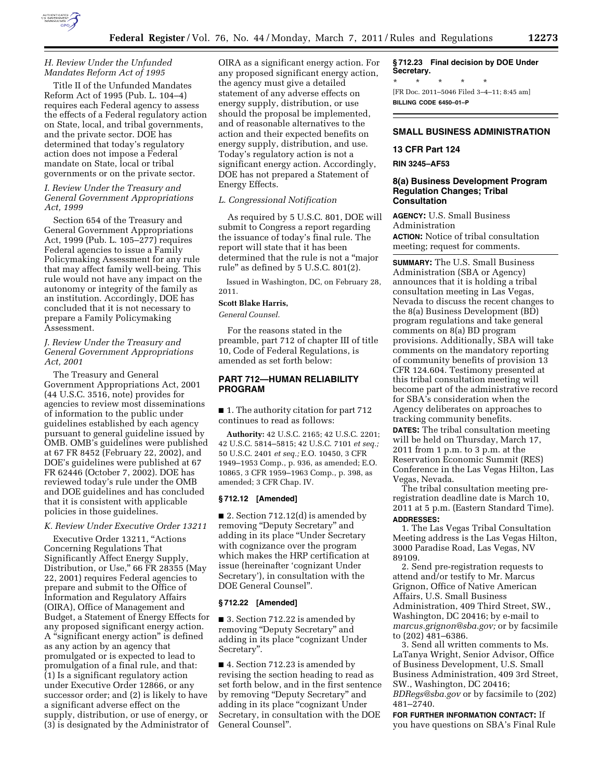

Title II of the Unfunded Mandates Reform Act of 1995 (Pub. L. 104–4) requires each Federal agency to assess the effects of a Federal regulatory action on State, local, and tribal governments, and the private sector. DOE has determined that today's regulatory action does not impose a Federal mandate on State, local or tribal governments or on the private sector.

### *I. Review Under the Treasury and General Government Appropriations Act, 1999*

Section 654 of the Treasury and General Government Appropriations Act, 1999 (Pub. L. 105–277) requires Federal agencies to issue a Family Policymaking Assessment for any rule that may affect family well-being. This rule would not have any impact on the autonomy or integrity of the family as an institution. Accordingly, DOE has concluded that it is not necessary to prepare a Family Policymaking Assessment.

## *J. Review Under the Treasury and General Government Appropriations Act, 2001*

The Treasury and General Government Appropriations Act, 2001 (44 U.S.C. 3516, note) provides for agencies to review most disseminations of information to the public under guidelines established by each agency pursuant to general guideline issued by OMB. OMB's guidelines were published at 67 FR 8452 (February 22, 2002), and DOE's guidelines were published at 67 FR 62446 (October 7, 2002). DOE has reviewed today's rule under the OMB and DOE guidelines and has concluded that it is consistent with applicable policies in those guidelines.

### *K. Review Under Executive Order 13211*

Executive Order 13211, "Actions Concerning Regulations That Significantly Affect Energy Supply, Distribution, or Use,'' 66 FR 28355 (May 22, 2001) requires Federal agencies to prepare and submit to the Office of Information and Regulatory Affairs (OIRA), Office of Management and Budget, a Statement of Energy Effects for any proposed significant energy action. A ''significant energy action'' is defined as any action by an agency that promulgated or is expected to lead to promulgation of a final rule, and that: (1) Is a significant regulatory action under Executive Order 12866, or any successor order; and (2) is likely to have a significant adverse effect on the supply, distribution, or use of energy, or (3) is designated by the Administrator of

OIRA as a significant energy action. For any proposed significant energy action, the agency must give a detailed statement of any adverse effects on energy supply, distribution, or use should the proposal be implemented, and of reasonable alternatives to the action and their expected benefits on energy supply, distribution, and use. Today's regulatory action is not a significant energy action. Accordingly, DOE has not prepared a Statement of Energy Effects.

# *L. Congressional Notification*

As required by 5 U.S.C. 801, DOE will submit to Congress a report regarding the issuance of today's final rule. The report will state that it has been determined that the rule is not a ''major rule'' as defined by 5 U.S.C. 801(2).

Issued in Washington, DC, on February 28, 2011.

### **Scott Blake Harris,**

*General Counsel.* 

For the reasons stated in the preamble, part 712 of chapter III of title 10, Code of Federal Regulations, is amended as set forth below:

# **PART 712—HUMAN RELIABILITY PROGRAM**

■ 1. The authority citation for part 712 continues to read as follows:

**Authority:** 42 U.S.C. 2165; 42 U.S.C. 2201; 42 U.S.C. 5814–5815; 42 U.S.C. 7101 *et seq.;*  50 U.S.C. 2401 *et seq.;* E.O. 10450, 3 CFR 1949–1953 Comp., p. 936, as amended; E.O. 10865, 3 CFR 1959–1963 Comp., p. 398, as amended; 3 CFR Chap. IV.

# **§ 712.12 [Amended]**

■ 2. Section 712.12(d) is amended by removing "Deputy Secretary" and adding in its place ''Under Secretary with cognizance over the program which makes the HRP certification at issue (hereinafter 'cognizant Under Secretary'), in consultation with the DOE General Counsel''.

#### **§ 712.22 [Amended]**

■ 3. Section 712.22 is amended by removing "Deputy Secretary" and adding in its place ''cognizant Under Secretary''.

■ 4. Section 712.23 is amended by revising the section heading to read as set forth below, and in the first sentence by removing "Deputy Secretary" and adding in its place ''cognizant Under Secretary, in consultation with the DOE General Counsel''.

**§ 712.23 Final decision by DOE Under Secretary.**  \* \* \* \* \* [FR Doc. 2011–5046 Filed 3–4–11; 8:45 am] **BILLING CODE 6450–01–P** 

#### **SMALL BUSINESS ADMINISTRATION**

## **13 CFR Part 124**

**RIN 3245–AF53** 

### **8(a) Business Development Program Regulation Changes; Tribal Consultation**

**AGENCY:** U.S. Small Business Administration **ACTION:** Notice of tribal consultation meeting; request for comments.

**SUMMARY:** The U.S. Small Business Administration (SBA or Agency) announces that it is holding a tribal consultation meeting in Las Vegas, Nevada to discuss the recent changes to the 8(a) Business Development (BD) program regulations and take general comments on 8(a) BD program provisions. Additionally, SBA will take comments on the mandatory reporting of community benefits of provision 13 CFR 124.604. Testimony presented at this tribal consultation meeting will become part of the administrative record for SBA's consideration when the Agency deliberates on approaches to tracking community benefits.

**DATES:** The tribal consultation meeting will be held on Thursday, March 17, 2011 from 1 p.m. to 3 p.m. at the Reservation Economic Summit (RES) Conference in the Las Vegas Hilton, Las Vegas, Nevada.

The tribal consultation meeting preregistration deadline date is March 10, 2011 at 5 p.m. (Eastern Standard Time). **ADDRESSES:** 

1. The Las Vegas Tribal Consultation Meeting address is the Las Vegas Hilton, 3000 Paradise Road, Las Vegas, NV 89109.

2. Send pre-registration requests to attend and/or testify to Mr. Marcus Grignon, Office of Native American Affairs, U.S. Small Business Administration, 409 Third Street, SW., Washington, DC 20416; by e-mail to *[marcus.grignon@sba.gov;](mailto:marcus.grignon@sba.gov)* or by facsimile to (202) 481–6386.

3. Send all written comments to Ms. LaTanya Wright, Senior Advisor, Office of Business Development, U.S. Small Business Administration, 409 3rd Street, SW., Washington, DC 20416; *[BDRegs@sba.gov](mailto:BDRegs@sba.gov)* or by facsimile to (202) 481–2740.

**FOR FURTHER INFORMATION CONTACT:** If you have questions on SBA's Final Rule